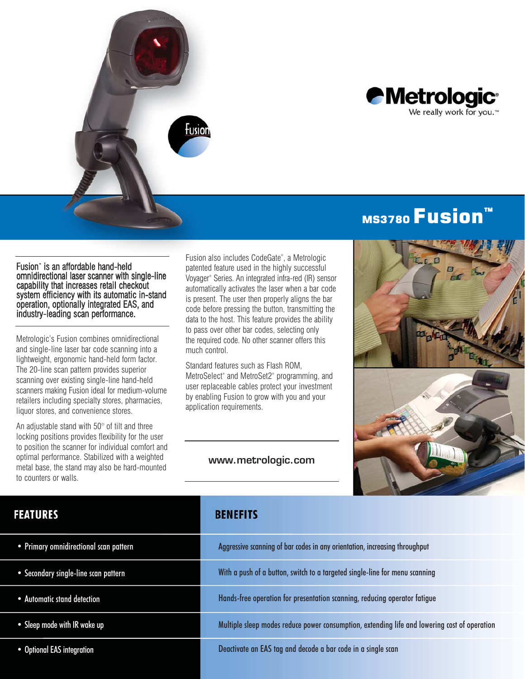



# MS3780 **Fusion**

Fusion<sup>\*</sup> is an affordable hand-held omnidirectional laser scanner with single-line capability that increases retail checkout system efficiency with its automatic in-stand operation, optionally integrated EAS, and industry-leading scan performance.

Metrologic's Fusion combines omnidirectional and single-line laser bar code scanning into a lightweight, ergonomic hand-held form factor. The 20-line scan pattern provides superior scanning over existing single-line hand-held scanners making Fusion ideal for medium-volume retailers including specialty stores, pharmacies, liquor stores, and convenience stores.

An adjustable stand with 50° of tilt and three locking positions provides flexibility for the user to position the scanner for individual comfort and optimal performance. Stabilized with a weighted metal base, the stand may also be hard-mounted to counters or walls.

Fusion also includes CodeGate® , a Metrologic patented feature used in the highly successful Voyager® Series. An integrated infra-red (IR) sensor automatically activates the laser when a bar code is present. The user then properly aligns the bar code before pressing the button, transmitting the data to the host. This feature provides the ability to pass over other bar codes, selecting only the required code. No other scanner offers this much control.

Standard features such as Flash ROM, MetroSelect® and MetroSet2® programming, and user replaceable cables protect your investment by enabling Fusion to grow with you and your application requirements.

#### www.metrologic.com



## **FEATURES**

- Primary omnidirectional scan pattern
- Secondary single-line scan pattern
- Automatic stand detection
- Sleep mode with IR wake up
- Optional EAS integration

## **BENEFITS**

| Aggressive scanning of bar codes in any orientation, increasing throughput                   |
|----------------------------------------------------------------------------------------------|
| With a push of a button, switch to a targeted single-line for menu scanning                  |
| Hands-free operation for presentation scanning, reducing operator fatigue                    |
| Multiple sleep modes reduce power consumption, extending life and lowering cost of operation |
| Deactivate an EAS tag and decode a bar code in a single scan                                 |